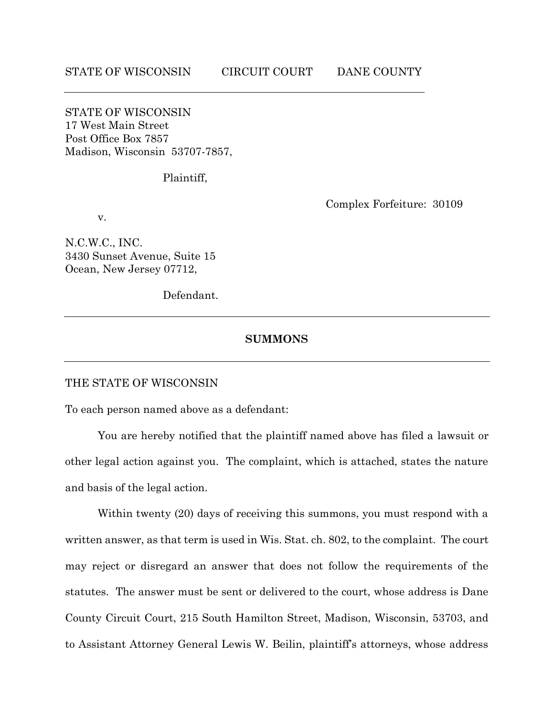STATE OF WISCONSIN 17 West Main Street Post Office Box 7857 Madison, Wisconsin 53707-7857,

Plaintiff,

v.

Complex Forfeiture: 30109

N.C.W.C., INC. 3430 Sunset Avenue, Suite 15 Ocean, New Jersey 07712,

Defendant.

### **SUMMONS**

#### THE STATE OF WISCONSIN

To each person named above as a defendant:

You are hereby notified that the plaintiff named above has filed a lawsuit or other legal action against you. The complaint, which is attached, states the nature and basis of the legal action.

Within twenty (20) days of receiving this summons, you must respond with a written answer, as that term is used in Wis. Stat. ch. 802, to the complaint. The court may reject or disregard an answer that does not follow the requirements of the statutes. The answer must be sent or delivered to the court, whose address is Dane County Circuit Court, 215 South Hamilton Street, Madison, Wisconsin, 53703, and to Assistant Attorney General Lewis W. Beilin, plaintiff's attorneys, whose address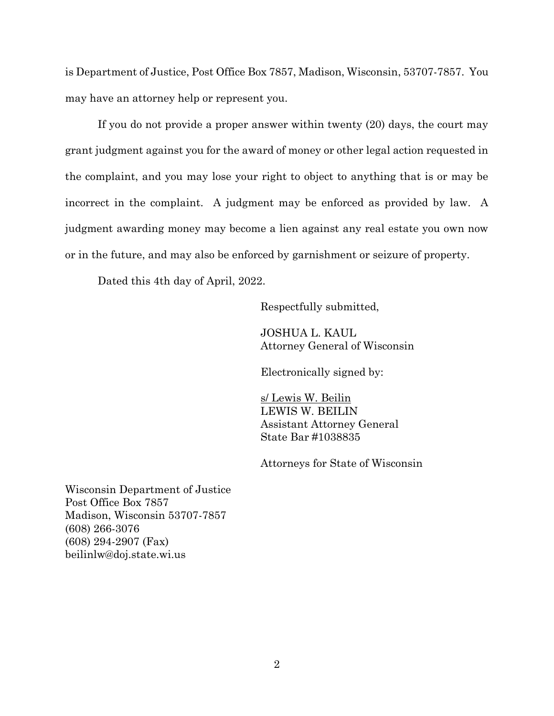is Department of Justice, Post Office Box 7857, Madison, Wisconsin, 53707-7857. You may have an attorney help or represent you.

If you do not provide a proper answer within twenty (20) days, the court may grant judgment against you for the award of money or other legal action requested in the complaint, and you may lose your right to object to anything that is or may be incorrect in the complaint. A judgment may be enforced as provided by law. A judgment awarding money may become a lien against any real estate you own now or in the future, and may also be enforced by garnishment or seizure of property.

Dated this 4th day of April, 2022.

Respectfully submitted,

JOSHUA L. KAUL Attorney General of Wisconsin

Electronically signed by:

s/ Lewis W. Beilin LEWIS W. BEILIN Assistant Attorney General State Bar #1038835

Attorneys for State of Wisconsin

Wisconsin Department of Justice Post Office Box 7857 Madison, Wisconsin 53707-7857 (608) 266-3076 (608) 294-2907 (Fax) beilinlw@doj.state.wi.us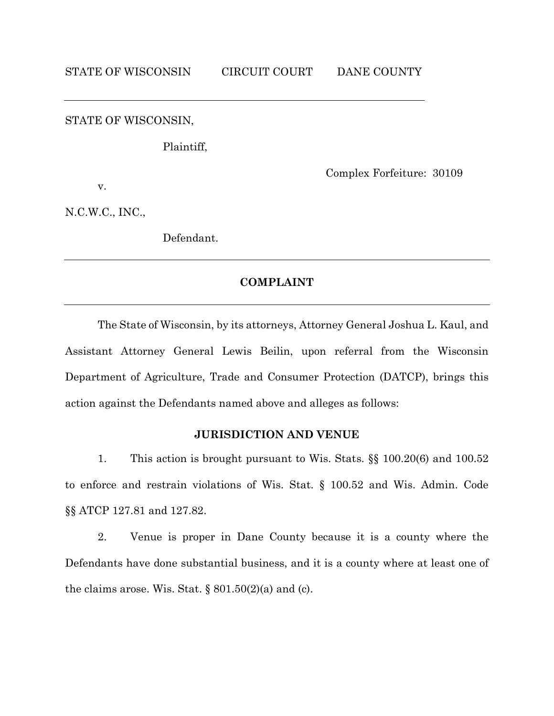STATE OF WISCONSIN,

Plaintiff,

Complex Forfeiture: 30109

v.

N.C.W.C., INC.,

Defendant.

### **COMPLAINT**

The State of Wisconsin, by its attorneys, Attorney General Joshua L. Kaul, and Assistant Attorney General Lewis Beilin, upon referral from the Wisconsin Department of Agriculture, Trade and Consumer Protection (DATCP), brings this action against the Defendants named above and alleges as follows:

# **JURISDICTION AND VENUE**

1. This action is brought pursuant to Wis. Stats. §§ 100.20(6) and 100.52 to enforce and restrain violations of Wis. Stat. § 100.52 and Wis. Admin. Code §§ ATCP 127.81 and 127.82.

2. Venue is proper in Dane County because it is a county where the Defendants have done substantial business, and it is a county where at least one of the claims arose. Wis. Stat.  $\S 801.50(2)(a)$  and (c).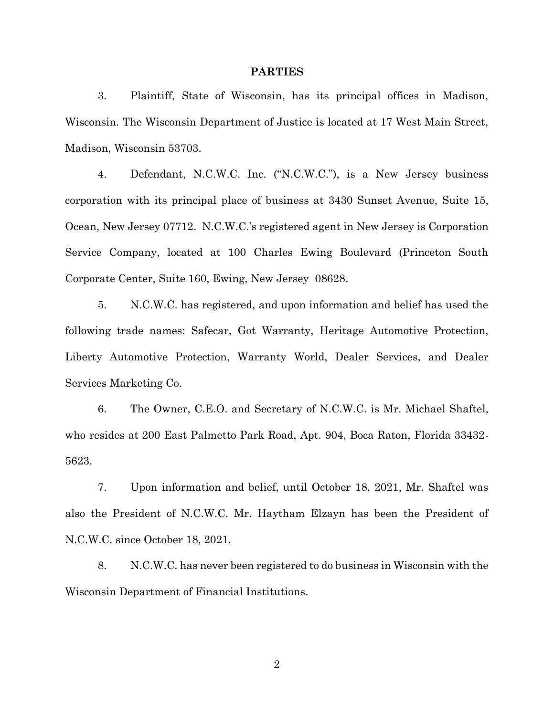#### **PARTIES**

3. Plaintiff, State of Wisconsin, has its principal offices in Madison, Wisconsin. The Wisconsin Department of Justice is located at 17 West Main Street, Madison, Wisconsin 53703.

4. Defendant, N.C.W.C. Inc. ("N.C.W.C."), is a New Jersey business corporation with its principal place of business at 3430 Sunset Avenue, Suite 15, Ocean, New Jersey 07712. N.C.W.C.'s registered agent in New Jersey is Corporation Service Company, located at 100 Charles Ewing Boulevard (Princeton South Corporate Center, Suite 160, Ewing, New Jersey 08628.

5. N.C.W.C. has registered, and upon information and belief has used the following trade names: Safecar, Got Warranty, Heritage Automotive Protection, Liberty Automotive Protection, Warranty World, Dealer Services, and Dealer Services Marketing Co.

6. The Owner, C.E.O. and Secretary of N.C.W.C. is Mr. Michael Shaftel, who resides at 200 East Palmetto Park Road, Apt. 904, Boca Raton, Florida 33432- 5623.

7. Upon information and belief, until October 18, 2021, Mr. Shaftel was also the President of N.C.W.C. Mr. Haytham Elzayn has been the President of N.C.W.C. since October 18, 2021.

8. N.C.W.C. has never been registered to do business in Wisconsin with the Wisconsin Department of Financial Institutions.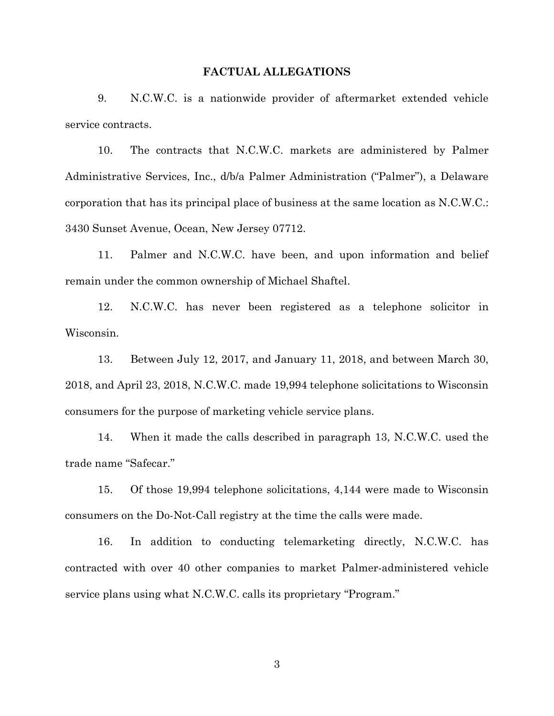#### **FACTUAL ALLEGATIONS**

9. N.C.W.C. is a nationwide provider of aftermarket extended vehicle service contracts.

10. The contracts that N.C.W.C. markets are administered by Palmer Administrative Services, Inc., d/b/a Palmer Administration ("Palmer"), a Delaware corporation that has its principal place of business at the same location as N.C.W.C.: 3430 Sunset Avenue, Ocean, New Jersey 07712.

11. Palmer and N.C.W.C. have been, and upon information and belief remain under the common ownership of Michael Shaftel.

12. N.C.W.C. has never been registered as a telephone solicitor in Wisconsin.

13. Between July 12, 2017, and January 11, 2018, and between March 30, 2018, and April 23, 2018, N.C.W.C. made 19,994 telephone solicitations to Wisconsin consumers for the purpose of marketing vehicle service plans.

14. When it made the calls described in paragraph 13, N.C.W.C. used the trade name "Safecar."

15. Of those 19,994 telephone solicitations, 4,144 were made to Wisconsin consumers on the Do-Not-Call registry at the time the calls were made.

16. In addition to conducting telemarketing directly, N.C.W.C. has contracted with over 40 other companies to market Palmer-administered vehicle service plans using what N.C.W.C. calls its proprietary "Program."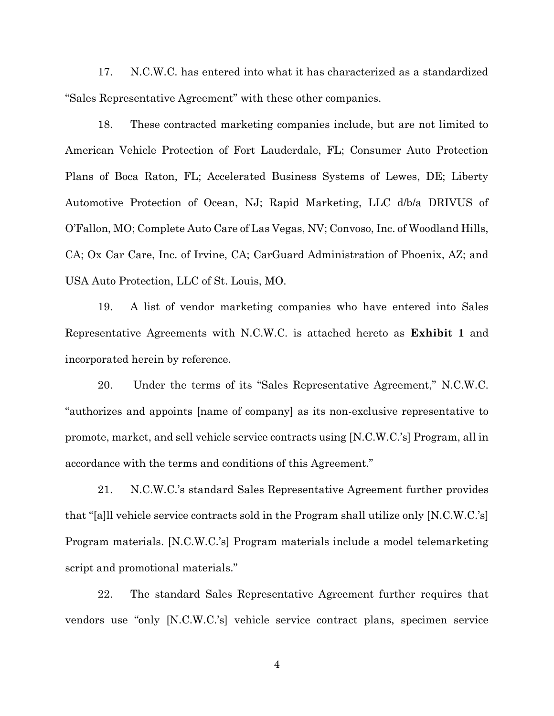17. N.C.W.C. has entered into what it has characterized as a standardized "Sales Representative Agreement" with these other companies.

18. These contracted marketing companies include, but are not limited to American Vehicle Protection of Fort Lauderdale, FL; Consumer Auto Protection Plans of Boca Raton, FL; Accelerated Business Systems of Lewes, DE; Liberty Automotive Protection of Ocean, NJ; Rapid Marketing, LLC d/b/a DRIVUS of O'Fallon, MO; Complete Auto Care of Las Vegas, NV; Convoso, Inc. of Woodland Hills, CA; Ox Car Care, Inc. of Irvine, CA; CarGuard Administration of Phoenix, AZ; and USA Auto Protection, LLC of St. Louis, MO.

19. A list of vendor marketing companies who have entered into Sales Representative Agreements with N.C.W.C. is attached hereto as **Exhibit 1** and incorporated herein by reference.

20. Under the terms of its "Sales Representative Agreement," N.C.W.C. "authorizes and appoints [name of company] as its non-exclusive representative to promote, market, and sell vehicle service contracts using [N.C.W.C.'s] Program, all in accordance with the terms and conditions of this Agreement."

21. N.C.W.C.'s standard Sales Representative Agreement further provides that "[a]ll vehicle service contracts sold in the Program shall utilize only [N.C.W.C.'s] Program materials. [N.C.W.C.'s] Program materials include a model telemarketing script and promotional materials."

22. The standard Sales Representative Agreement further requires that vendors use "only [N.C.W.C.'s] vehicle service contract plans, specimen service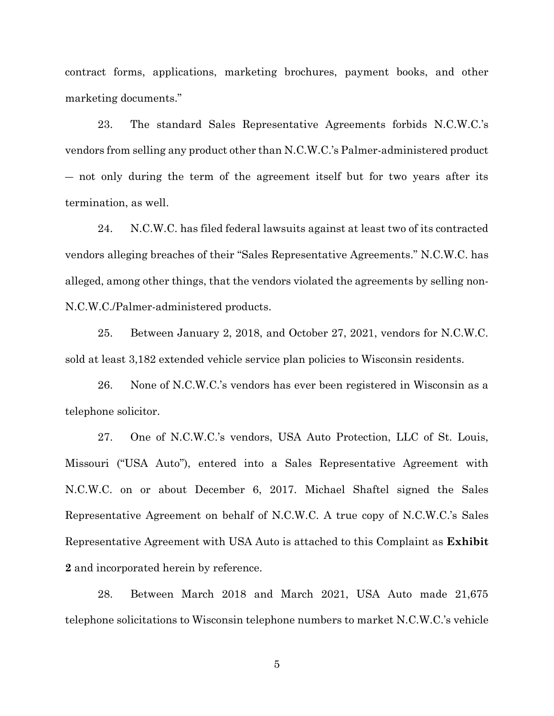contract forms, applications, marketing brochures, payment books, and other marketing documents."

23. The standard Sales Representative Agreements forbids N.C.W.C.'s vendors from selling any product other than N.C.W.C.'s Palmer-administered product ― not only during the term of the agreement itself but for two years after its termination, as well.

24. N.C.W.C. has filed federal lawsuits against at least two of its contracted vendors alleging breaches of their "Sales Representative Agreements." N.C.W.C. has alleged, among other things, that the vendors violated the agreements by selling non-N.C.W.C./Palmer-administered products.

25. Between January 2, 2018, and October 27, 2021, vendors for N.C.W.C. sold at least 3,182 extended vehicle service plan policies to Wisconsin residents.

26. None of N.C.W.C.'s vendors has ever been registered in Wisconsin as a telephone solicitor.

27. One of N.C.W.C.'s vendors, USA Auto Protection, LLC of St. Louis, Missouri ("USA Auto"), entered into a Sales Representative Agreement with N.C.W.C. on or about December 6, 2017. Michael Shaftel signed the Sales Representative Agreement on behalf of N.C.W.C. A true copy of N.C.W.C.'s Sales Representative Agreement with USA Auto is attached to this Complaint as **Exhibit 2** and incorporated herein by reference.

28. Between March 2018 and March 2021, USA Auto made 21,675 telephone solicitations to Wisconsin telephone numbers to market N.C.W.C.'s vehicle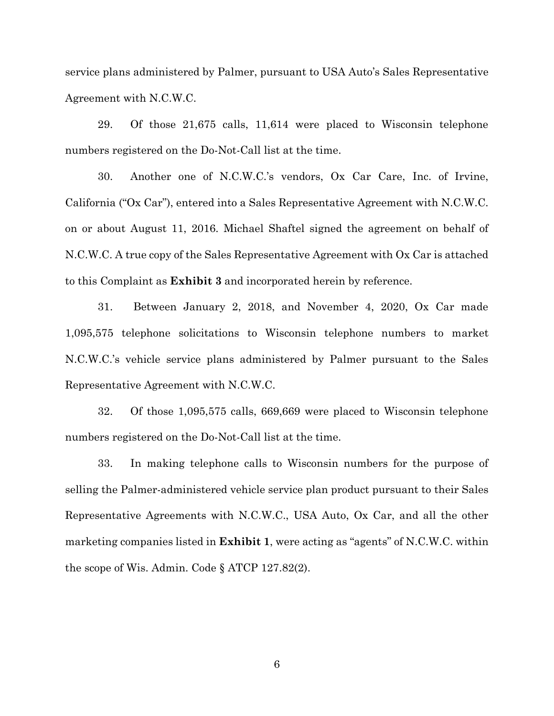service plans administered by Palmer, pursuant to USA Auto's Sales Representative Agreement with N.C.W.C.

29. Of those 21,675 calls, 11,614 were placed to Wisconsin telephone numbers registered on the Do-Not-Call list at the time.

30. Another one of N.C.W.C.'s vendors, Ox Car Care, Inc. of Irvine, California ("Ox Car"), entered into a Sales Representative Agreement with N.C.W.C. on or about August 11, 2016. Michael Shaftel signed the agreement on behalf of N.C.W.C. A true copy of the Sales Representative Agreement with Ox Car is attached to this Complaint as **Exhibit 3** and incorporated herein by reference.

31. Between January 2, 2018, and November 4, 2020, Ox Car made 1,095,575 telephone solicitations to Wisconsin telephone numbers to market N.C.W.C.'s vehicle service plans administered by Palmer pursuant to the Sales Representative Agreement with N.C.W.C.

32. Of those 1,095,575 calls, 669,669 were placed to Wisconsin telephone numbers registered on the Do-Not-Call list at the time.

33. In making telephone calls to Wisconsin numbers for the purpose of selling the Palmer-administered vehicle service plan product pursuant to their Sales Representative Agreements with N.C.W.C., USA Auto, Ox Car, and all the other marketing companies listed in **Exhibit 1**, were acting as "agents" of N.C.W.C. within the scope of Wis. Admin. Code § ATCP 127.82(2).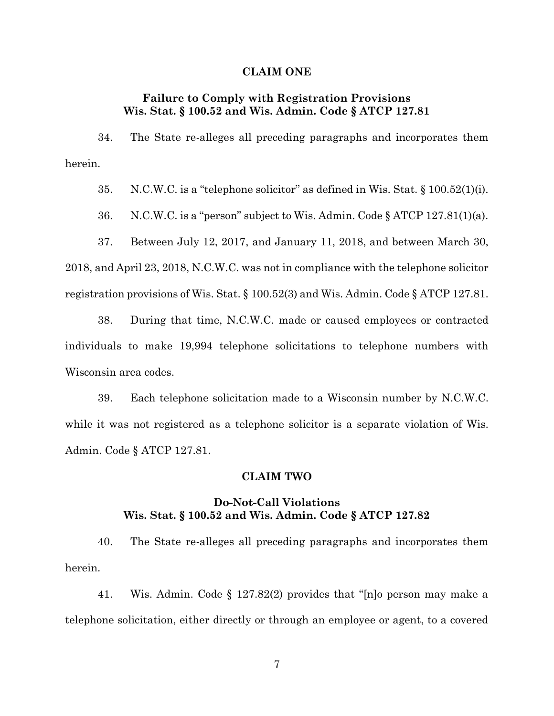### **CLAIM ONE**

# **Failure to Comply with Registration Provisions Wis. Stat. § 100.52 and Wis. Admin. Code § ATCP 127.81**

34. The State re-alleges all preceding paragraphs and incorporates them herein.

35. N.C.W.C. is a "telephone solicitor" as defined in Wis. Stat. § 100.52(1)(i).

36. N.C.W.C. is a "person" subject to Wis. Admin. Code § ATCP 127.81(1)(a).

37. Between July 12, 2017, and January 11, 2018, and between March 30, 2018, and April 23, 2018, N.C.W.C. was not in compliance with the telephone solicitor registration provisions of Wis. Stat. § 100.52(3) and Wis. Admin. Code § ATCP 127.81.

38. During that time, N.C.W.C. made or caused employees or contracted individuals to make 19,994 telephone solicitations to telephone numbers with Wisconsin area codes.

39. Each telephone solicitation made to a Wisconsin number by N.C.W.C. while it was not registered as a telephone solicitor is a separate violation of Wis. Admin. Code § ATCP 127.81.

### **CLAIM TWO**

### **Do-Not-Call Violations Wis. Stat. § 100.52 and Wis. Admin. Code § ATCP 127.82**

40. The State re-alleges all preceding paragraphs and incorporates them herein.

41. Wis. Admin. Code § 127.82(2) provides that "[n]o person may make a telephone solicitation, either directly or through an employee or agent, to a covered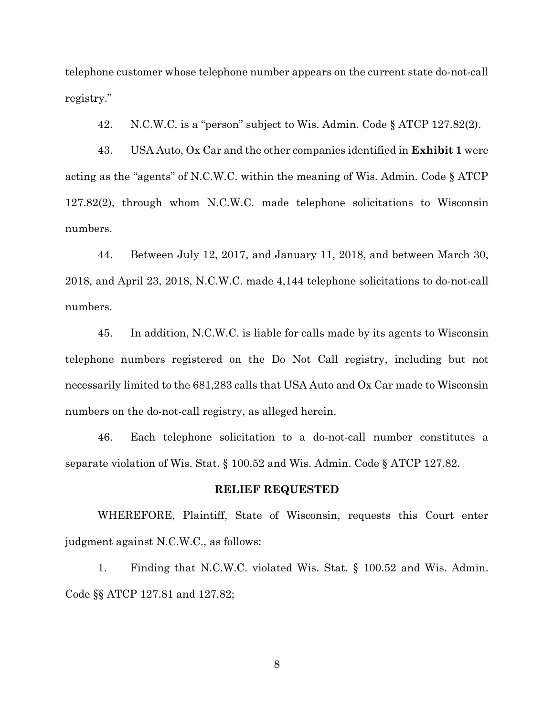telephone customer whose telephone number appears on the current state do-not-call registry."

42. N.C.W.C. is a "person" subject to Wis. Admin. Code § ATCP 127.82(2).

43. USA Auto, Ox Car and the other companies identified in **Exhibit 1** were acting as the "agents" of N.C.W.C. within the meaning of Wis. Admin. Code § ATCP 127.82(2), through whom N.C.W.C. made telephone solicitations to Wisconsin numbers.

44. Between July 12, 2017, and January 11, 2018, and between March 30, 2018, and April 23, 2018, N.C.W.C. made 4,144 telephone solicitations to do-not-call numbers.

45. In addition, N.C.W.C. is liable for calls made by its agents to Wisconsin telephone numbers registered on the Do Not Call registry, including but not necessarily limited to the 681,283 calls that USA Auto and Ox Car made to Wisconsin numbers on the do-not-call registry, as alleged herein.

46. Each telephone solicitation to a do-not-call number constitutes a separate violation of Wis. Stat. § 100.52 and Wis. Admin. Code § ATCP 127.82.

### **RELIEF REQUESTED**

WHEREFORE, Plaintiff, State of Wisconsin, requests this Court enter judgment against N.C.W.C., as follows:

1. Finding that N.C.W.C. violated Wis. Stat. § 100.52 and Wis. Admin. Code §§ ATCP 127.81 and 127.82;